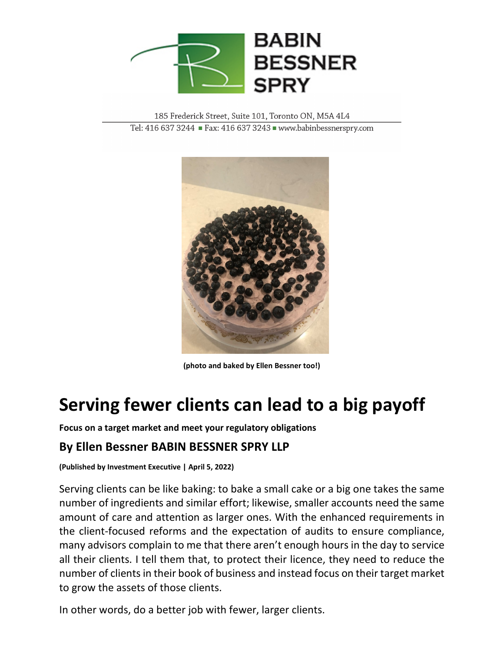

185 Frederick Street, Suite 101, Toronto ON, M5A 4L4 Tel: 416 637 3244 Fax: 416 637 3243 Www.babinbessnerspry.com



**(photo and baked by Ellen Bessner too!)**

## **Serving fewer clients can lead to a big payoff**

**Focus on a target market and meet your regulatory obligations**

## **By Ellen Bessner BABIN BESSNER SPRY LLP**

**(Published by Investment Executive | April 5, 2022)**

Serving clients can be like baking: to bake a small cake or a big one takes the same number of ingredients and similar effort; likewise, smaller accounts need the same amount of care and attention as larger ones. With the enhanced requirements in the client-focused reforms and the expectation of audits to ensure compliance, many advisors complain to me that there aren't enough hours in the day to service all their clients. I tell them that, to protect their licence, they need to reduce the number of clients in their book of business and instead focus on their target market to grow the assets of those clients.

In other words, do a better job with fewer, larger clients.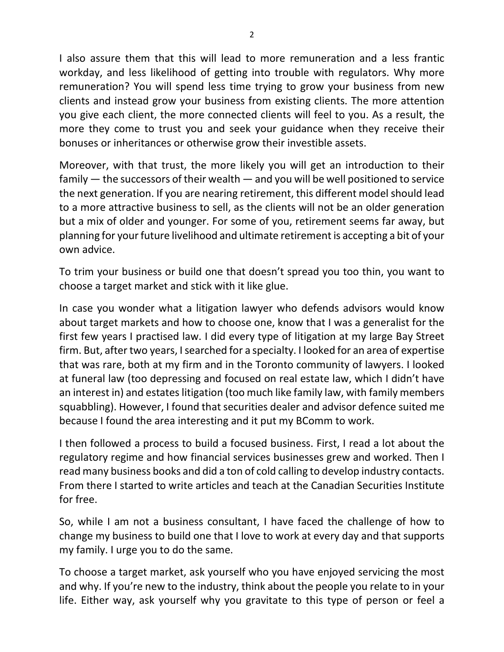I also assure them that this will lead to more remuneration and a less frantic workday, and less likelihood of getting into trouble with regulators. Why more remuneration? You will spend less time trying to grow your business from new clients and instead grow your business from existing clients. The more attention you give each client, the more connected clients will feel to you. As a result, the more they come to trust you and seek your guidance when they receive their bonuses or inheritances or otherwise grow their investible assets.

Moreover, with that trust, the more likely you will get an introduction to their family — the successors of their wealth — and you will be well positioned to service the next generation. If you are nearing retirement, this different model should lead to a more attractive business to sell, as the clients will not be an older generation but a mix of older and younger. For some of you, retirement seems far away, but planning for your future livelihood and ultimate retirement is accepting a bit of your own advice.

To trim your business or build one that doesn't spread you too thin, you want to choose a target market and stick with it like glue.

In case you wonder what a litigation lawyer who defends advisors would know about target markets and how to choose one, know that I was a generalist for the first few years I practised law. I did every type of litigation at my large Bay Street firm. But, after two years, I searched for a specialty. I looked for an area of expertise that was rare, both at my firm and in the Toronto community of lawyers. I looked at funeral law (too depressing and focused on real estate law, which I didn't have an interest in) and estates litigation (too much like family law, with family members squabbling). However, I found that securities dealer and advisor defence suited me because I found the area interesting and it put my BComm to work.

I then followed a process to build a focused business. First, I read a lot about the regulatory regime and how financial services businesses grew and worked. Then I read many business books and did a ton of cold calling to develop industry contacts. From there I started to write articles and teach at the Canadian Securities Institute for free.

So, while I am not a business consultant, I have faced the challenge of how to change my business to build one that I love to work at every day and that supports my family. I urge you to do the same.

To choose a target market, ask yourself who you have enjoyed servicing the most and why. If you're new to the industry, think about the people you relate to in your life. Either way, ask yourself why you gravitate to this type of person or feel a